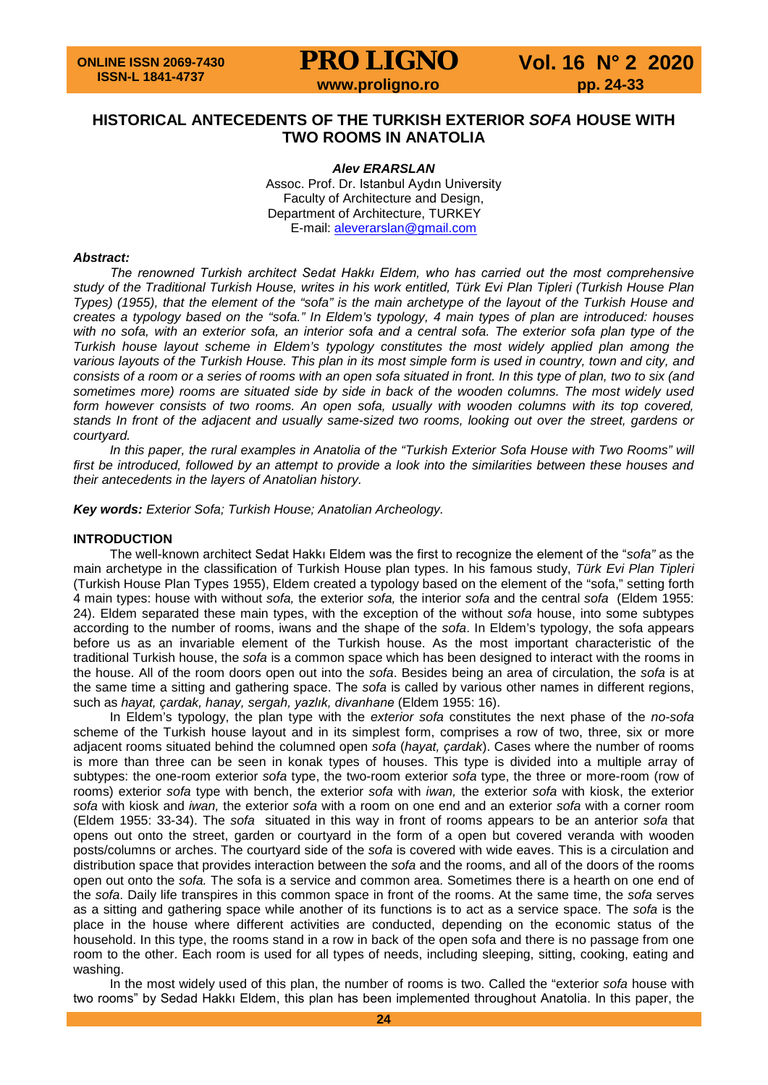# **HISTORICAL ANTECEDENTS OF THE TURKISH EXTERIOR** *SOFA* **HOUSE WITH TWO ROOMS IN ANATOLIA**

*Alev ERARSLAN* Assoc. Prof. Dr. Istanbul Aydın University Faculty of Architecture and Design, Department of Architecture, TURKEY E-mail: [aleverarslan@gmail.com](mailto:aleverarslan@gmail.com)

### *Abstract:*

*The renowned Turkish architect Sedat Hakkı Eldem, who has carried out the most comprehensive study of the Traditional Turkish House, writes in his work entitled, Türk Evi Plan Tipleri (Turkish House Plan Types) (1955), that the element of the "sofa" is the main archetype of the layout of the Turkish House and creates a typology based on the "sofa." In Eldem's typology, 4 main types of plan are introduced: houses with no sofa, with an exterior sofa, an interior sofa and a central sofa. The exterior sofa plan type of the Turkish house layout scheme in Eldem's typology constitutes the most widely applied plan among the*  various layouts of the Turkish House. This plan in its most simple form is used in country, town and city, and *consists of a room or a series of rooms with an open sofa situated in front. In this type of plan, two to six (and sometimes more) rooms are situated side by side in back of the wooden columns. The most widely used*  form however consists of two rooms. An open sofa, usually with wooden columns with its top covered, *stands In front of the adjacent and usually same-sized two rooms, looking out over the street, gardens or courtyard.*

*In this paper, the rural examples in Anatolia of the "Turkish Exterior Sofa House with Two Rooms" will first be introduced, followed by an attempt to provide a look into the similarities between these houses and their antecedents in the layers of Anatolian history.*

*Key words: Exterior Sofa; Turkish House; Anatolian Archeology.*

#### **INTRODUCTION**

The well-known architect Sedat Hakkı Eldem was the first to recognize the element of the "*sofa"* as the main archetype in the classification of Turkish House plan types. In his famous study, *Türk Evi Plan Tipleri* (Turkish House Plan Types 1955), Eldem created a typology based on the element of the "sofa," setting forth 4 main types: house with without *sofa,* the exterior *sofa,* the interior *sofa* and the central *sofa* (Eldem 1955: 24). Eldem separated these main types, with the exception of the without *sofa* house, into some subtypes according to the number of rooms, iwans and the shape of the *sofa*. In Eldem's typology, the sofa appears before us as an invariable element of the Turkish house. As the most important characteristic of the traditional Turkish house, the *sofa* is a common space which has been designed to interact with the rooms in the house. All of the room doors open out into the *sofa*. Besides being an area of circulation, the *sofa* is at the same time a sitting and gathering space. The *sofa* is called by various other names in different regions, such as *hayat, çardak, hanay, sergah, yazlık, divanhane* (Eldem 1955: 16).

In Eldem's typology, the plan type with the *exterior sofa* constitutes the next phase of the *no-sofa*  scheme of the Turkish house layout and in its simplest form, comprises a row of two, three, six or more adjacent rooms situated behind the columned open *sofa* (*hayat, çardak*). Cases where the number of rooms is more than three can be seen in konak types of houses. This type is divided into a multiple array of subtypes: the one-room exterior *sofa* type, the two-room exterior *sofa* type, the three or more-room (row of rooms) exterior *sofa* type with bench, the exterior *sofa* with *iwan,* the exterior *sofa* with kiosk, the exterior *sofa* with kiosk and *iwan,* the exterior *sofa* with a room on one end and an exterior *sofa* with a corner room (Eldem 1955: 33-34). The *sofa* situated in this way in front of rooms appears to be an anterior *sofa* that opens out onto the street, garden or courtyard in the form of a open but covered veranda with wooden posts/columns or arches. The courtyard side of the *sofa* is covered with wide eaves. This is a circulation and distribution space that provides interaction between the *sofa* and the rooms, and all of the doors of the rooms open out onto the *sofa.* The sofa is a service and common area. Sometimes there is a hearth on one end of the *sofa*. Daily life transpires in this common space in front of the rooms. At the same time, the *sofa* serves as a sitting and gathering space while another of its functions is to act as a service space. The *sofa* is the place in the house where different activities are conducted, depending on the economic status of the household. In this type, the rooms stand in a row in back of the open sofa and there is no passage from one room to the other. Each room is used for all types of needs, including sleeping, sitting, cooking, eating and washing.

In the most widely used of this plan, the number of rooms is two. Called the "exterior *sofa* house with two rooms" by Sedad Hakkı Eldem, this plan has been implemented throughout Anatolia. In this paper, the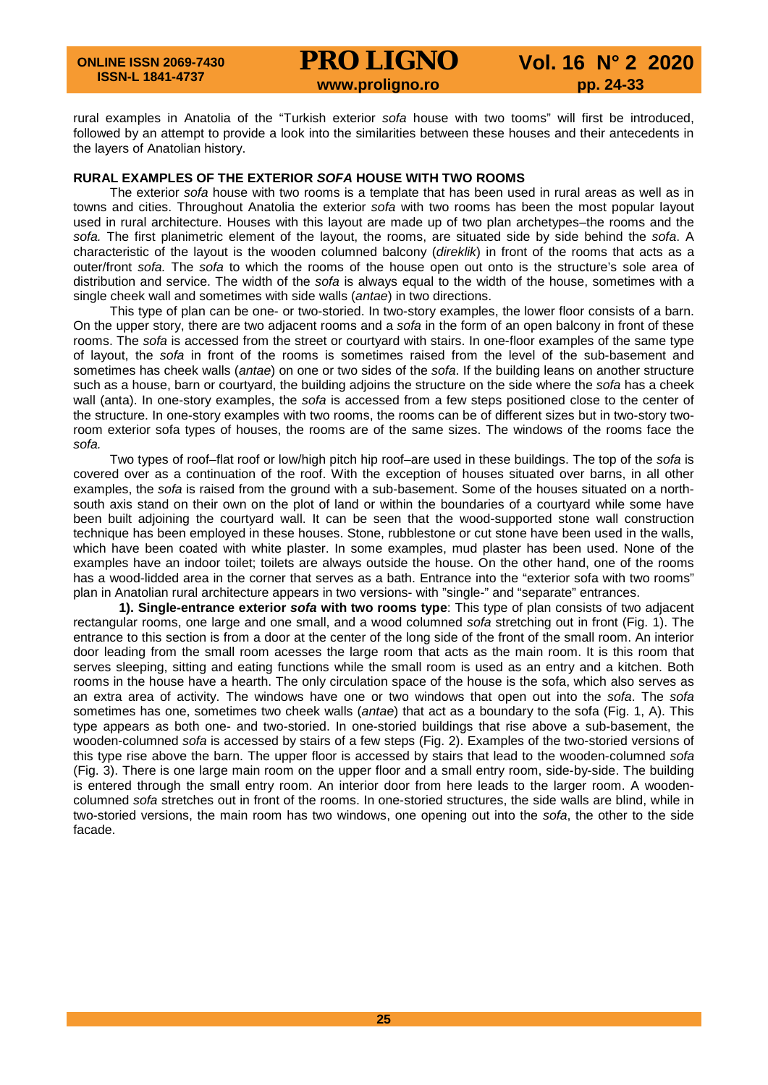rural examples in Anatolia of the "Turkish exterior *sofa* house with two tooms" will first be introduced, followed by an attempt to provide a look into the similarities between these houses and their antecedents in the layers of Anatolian history.

### **RURAL EXAMPLES OF THE EXTERIOR** *SOFA* **HOUSE WITH TWO ROOMS**

The exterior *sofa* house with two rooms is a template that has been used in rural areas as well as in towns and cities. Throughout Anatolia the exterior *sofa* with two rooms has been the most popular layout used in rural architecture. Houses with this layout are made up of two plan archetypes–the rooms and the *sofa.* The first planimetric element of the layout, the rooms, are situated side by side behind the *sofa*. A characteristic of the layout is the wooden columned balcony (*direklik*) in front of the rooms that acts as a outer/front *sofa.* The *sofa* to which the rooms of the house open out onto is the structure's sole area of distribution and service. The width of the *sofa* is always equal to the width of the house, sometimes with a single cheek wall and sometimes with side walls (*antae*) in two directions.

This type of plan can be one- or two-storied. In two-story examples, the lower floor consists of a barn. On the upper story, there are two adjacent rooms and a *sofa* in the form of an open balcony in front of these rooms. The *sofa* is accessed from the street or courtyard with stairs. In one-floor examples of the same type of layout, the *sofa* in front of the rooms is sometimes raised from the level of the sub-basement and sometimes has cheek walls (*antae*) on one or two sides of the *sofa*. If the building leans on another structure such as a house, barn or courtyard, the building adjoins the structure on the side where the *sofa* has a cheek wall (anta). In one-story examples, the *sofa* is accessed from a few steps positioned close to the center of the structure. In one-story examples with two rooms, the rooms can be of different sizes but in two-story tworoom exterior sofa types of houses, the rooms are of the same sizes. The windows of the rooms face the *sofa.*

Two types of roof–flat roof or low/high pitch hip roof–are used in these buildings. The top of the *sofa* is covered over as a continuation of the roof. With the exception of houses situated over barns, in all other examples, the *sofa* is raised from the ground with a sub-basement. Some of the houses situated on a northsouth axis stand on their own on the plot of land or within the boundaries of a courtyard while some have been built adjoining the courtyard wall. It can be seen that the wood-supported stone wall construction technique has been employed in these houses. Stone, rubblestone or cut stone have been used in the walls, which have been coated with white plaster. In some examples, mud plaster has been used. None of the examples have an indoor toilet; toilets are always outside the house. On the other hand, one of the rooms has a wood-lidded area in the corner that serves as a bath. Entrance into the "exterior sofa with two rooms" plan in Anatolian rural architecture appears in two versions- with "single-" and "separate" entrances.

**1). Single-entrance exterior** *sofa* **with two rooms type**: This type of plan consists of two adjacent rectangular rooms, one large and one small, and a wood columned *sofa* stretching out in front (Fig. 1). The entrance to this section is from a door at the center of the long side of the front of the small room. An interior door leading from the small room acesses the large room that acts as the main room. It is this room that serves sleeping, sitting and eating functions while the small room is used as an entry and a kitchen. Both rooms in the house have a hearth. The only circulation space of the house is the sofa, which also serves as an extra area of activity. The windows have one or two windows that open out into the *sofa*. The *sofa* sometimes has one, sometimes two cheek walls (*antae*) that act as a boundary to the sofa (Fig. 1, A). This type appears as both one- and two-storied. In one-storied buildings that rise above a sub-basement, the wooden-columned *sofa* is accessed by stairs of a few steps (Fig. 2). Examples of the two-storied versions of this type rise above the barn. The upper floor is accessed by stairs that lead to the wooden-columned *sofa* (Fig. 3). There is one large main room on the upper floor and a small entry room, side-by-side. The building is entered through the small entry room. An interior door from here leads to the larger room. A woodencolumned *sofa* stretches out in front of the rooms. In one-storied structures, the side walls are blind, while in two-storied versions, the main room has two windows, one opening out into the *sofa*, the other to the side facade.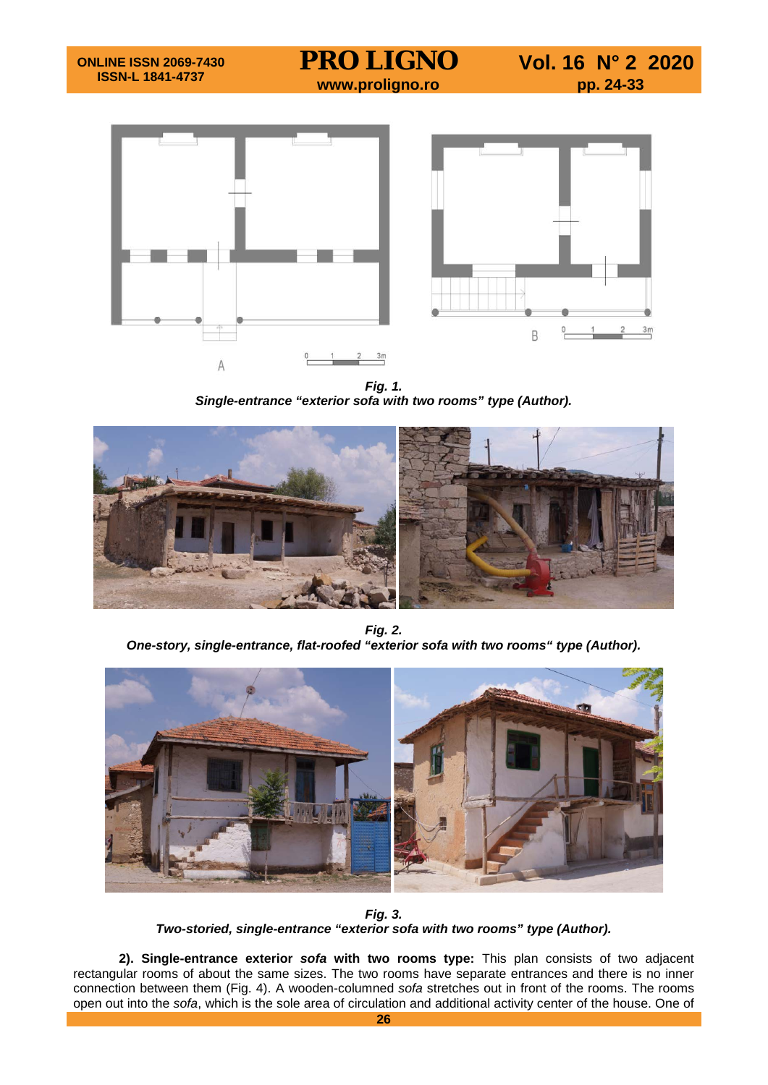



*Fig. 1. Single-entrance "exterior sofa with two rooms" type (Author).*



*Fig. 2. One-story, single-entrance, flat-roofed "exterior sofa with two rooms" type (Author).*



*Fig. 3. Two-storied, single-entrance "exterior sofa with two rooms" type (Author).*

**2). Single-entrance exterior** *sofa* **with two rooms type:** This plan consists of two adjacent rectangular rooms of about the same sizes. The two rooms have separate entrances and there is no inner connection between them (Fig. 4). A wooden-columned *sofa* stretches out in front of the rooms. The rooms open out into the *sofa*, which is the sole area of circulation and additional activity center of the house. One of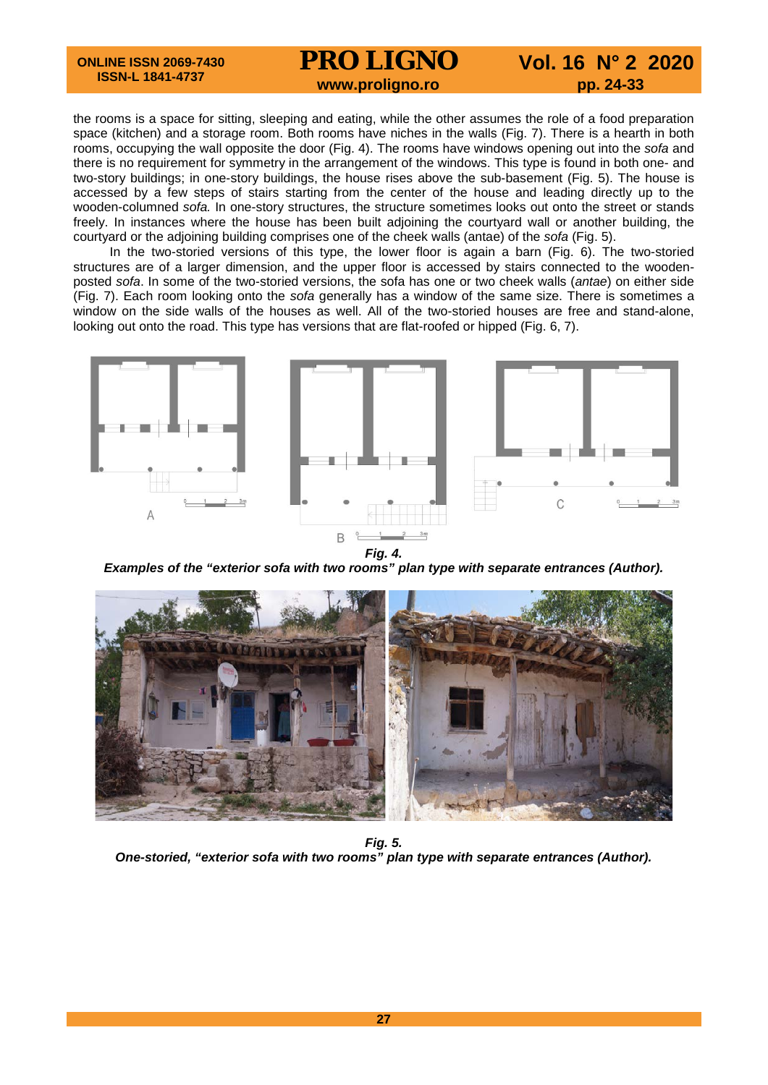# **PRO LIGNO** Vol. 16 N° 2 2020<br>www.proligno.ro pp. 24-33

the rooms is a space for sitting, sleeping and eating, while the other assumes the role of a food preparation space (kitchen) and a storage room. Both rooms have niches in the walls (Fig. 7). There is a hearth in both rooms, occupying the wall opposite the door (Fig. 4). The rooms have windows opening out into the *sofa* and there is no requirement for symmetry in the arrangement of the windows. This type is found in both one- and two-story buildings; in one-story buildings, the house rises above the sub-basement (Fig. 5). The house is accessed by a few steps of stairs starting from the center of the house and leading directly up to the wooden-columned *sofa.* In one-story structures, the structure sometimes looks out onto the street or stands freely. In instances where the house has been built adjoining the courtyard wall or another building, the courtyard or the adjoining building comprises one of the cheek walls (antae) of the *sofa* (Fig. 5).

In the two-storied versions of this type, the lower floor is again a barn (Fig. 6). The two-storied structures are of a larger dimension, and the upper floor is accessed by stairs connected to the woodenposted *sofa*. In some of the two-storied versions, the sofa has one or two cheek walls (*antae*) on either side (Fig. 7). Each room looking onto the *sofa* generally has a window of the same size. There is sometimes a window on the side walls of the houses as well. All of the two-storied houses are free and stand-alone, looking out onto the road. This type has versions that are flat-roofed or hipped (Fig. 6, 7).



*Fig. 4.*

*Examples of the "exterior sofa with two rooms" plan type with separate entrances (Author).*



*Fig. 5. One-storied, "exterior sofa with two rooms" plan type with separate entrances (Author).*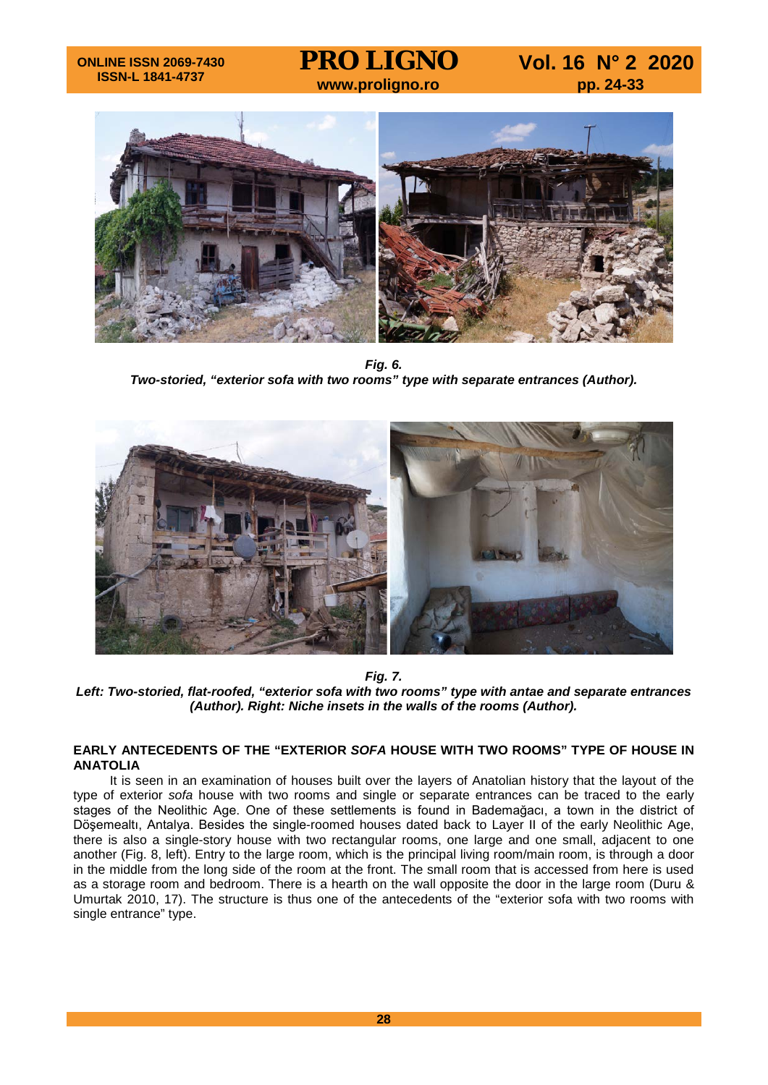## **ONLINE ISSN 2069-7430 ISSN-L 1841-4737**

**PRO LIGNO** Vol. 16 N° 2 2020<br>www.proligno.ro pp. 24-33



*Fig. 6. Two-storied, "exterior sofa with two rooms" type with separate entrances (Author).*



*Fig. 7.*

*Left: Two-storied, flat-roofed, "exterior sofa with two rooms" type with antae and separate entrances (Author). Right: Niche insets in the walls of the rooms (Author).*

## **EARLY ANTECEDENTS OF THE "EXTERIOR** *SOFA* **HOUSE WITH TWO ROOMS" TYPE OF HOUSE IN ANATOLIA**

It is seen in an examination of houses built over the layers of Anatolian history that the layout of the type of exterior *sofa* house with two rooms and single or separate entrances can be traced to the early stages of the Neolithic Age. One of these settlements is found in Bademağacı, a town in the district of Döşemealtı, Antalya. Besides the single-roomed houses dated back to Layer II of the early Neolithic Age, there is also a single-story house with two rectangular rooms, one large and one small, adjacent to one another (Fig. 8, left). Entry to the large room, which is the principal living room/main room, is through a door in the middle from the long side of the room at the front. The small room that is accessed from here is used as a storage room and bedroom. There is a hearth on the wall opposite the door in the large room (Duru & Umurtak 2010, 17). The structure is thus one of the antecedents of the "exterior sofa with two rooms with single entrance" type.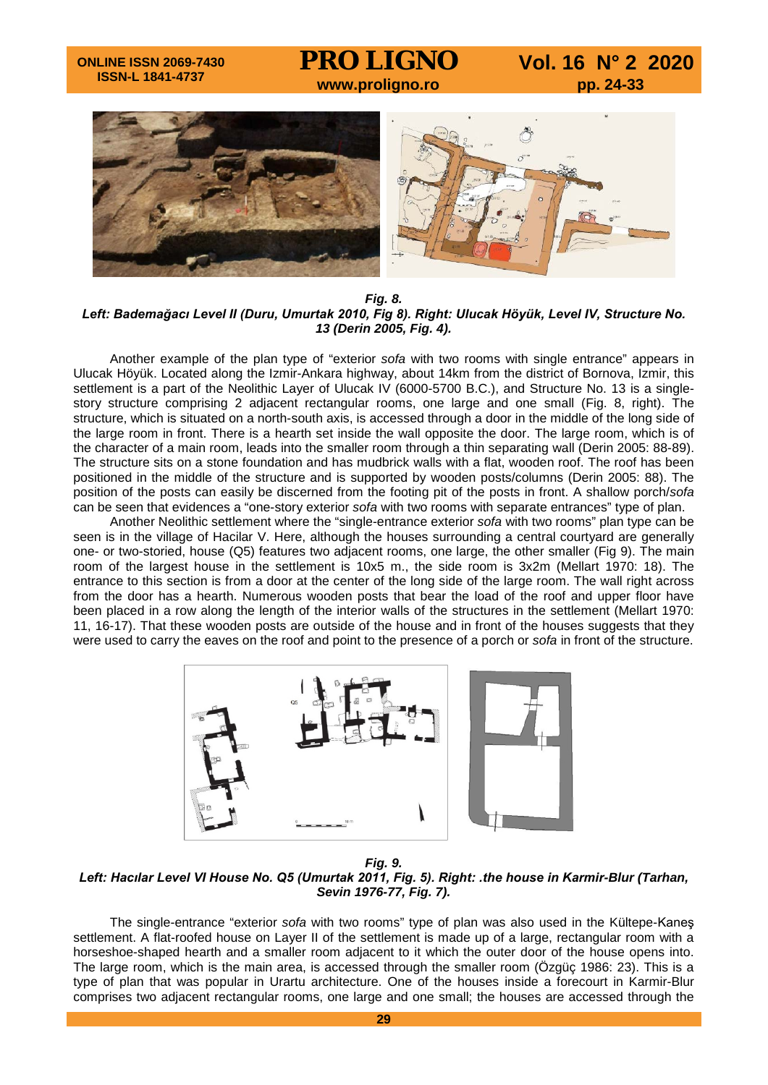# **PRO LIGNO** Vol. 16 N° 2 2020<br>www.proligno.ro pp. 24-33



*Fig. 8. Left: Bademağacı Level II (Duru, Umurtak 2010, Fig 8). Right: Ulucak Höyük, Level IV, Structure No. 13 (Derin 2005, Fig. 4).*

Another example of the plan type of "exterior *sofa* with two rooms with single entrance" appears in Ulucak Höyük. Located along the Izmir-Ankara highway, about 14km from the district of Bornova, Izmir, this settlement is a part of the Neolithic Layer of Ulucak IV (6000-5700 B.C.), and Structure No. 13 is a singlestory structure comprising 2 adjacent rectangular rooms, one large and one small (Fig. 8, right). The structure, which is situated on a north-south axis, is accessed through a door in the middle of the long side of the large room in front. There is a hearth set inside the wall opposite the door. The large room, which is of the character of a main room, leads into the smaller room through a thin separating wall (Derin 2005: 88-89). The structure sits on a stone foundation and has mudbrick walls with a flat, wooden roof. The roof has been positioned in the middle of the structure and is supported by wooden posts/columns (Derin 2005: 88). The position of the posts can easily be discerned from the footing pit of the posts in front. A shallow porch/*sofa* can be seen that evidences a "one-story exterior *sofa* with two rooms with separate entrances" type of plan.

Another Neolithic settlement where the "single-entrance exterior *sofa* with two rooms" plan type can be seen is in the village of Hacilar V. Here, although the houses surrounding a central courtyard are generally one- or two-storied, house (Q5) features two adjacent rooms, one large, the other smaller (Fig 9). The main room of the largest house in the settlement is 10x5 m., the side room is 3x2m (Mellart 1970: 18). The entrance to this section is from a door at the center of the long side of the large room. The wall right across from the door has a hearth. Numerous wooden posts that bear the load of the roof and upper floor have been placed in a row along the length of the interior walls of the structures in the settlement (Mellart 1970: 11, 16-17). That these wooden posts are outside of the house and in front of the houses suggests that they were used to carry the eaves on the roof and point to the presence of a porch or *sofa* in front of the structure.



*Fig. 9. Left: Hacılar Level VI House No. Q5 (Umurtak 2011, Fig. 5). Right: .the house in Karmir-Blur (Tarhan, Sevin 1976-77, Fig. 7).*

The single-entrance "exterior *sofa* with two rooms" type of plan was also used in the Kültepe-Kaneş settlement. A flat-roofed house on Layer II of the settlement is made up of a large, rectangular room with a horseshoe-shaped hearth and a smaller room adjacent to it which the outer door of the house opens into. The large room, which is the main area, is accessed through the smaller room (Özgüç 1986: 23). This is a type of plan that was popular in Urartu architecture. One of the houses inside a forecourt in Karmir-Blur comprises two adjacent rectangular rooms, one large and one small; the houses are accessed through the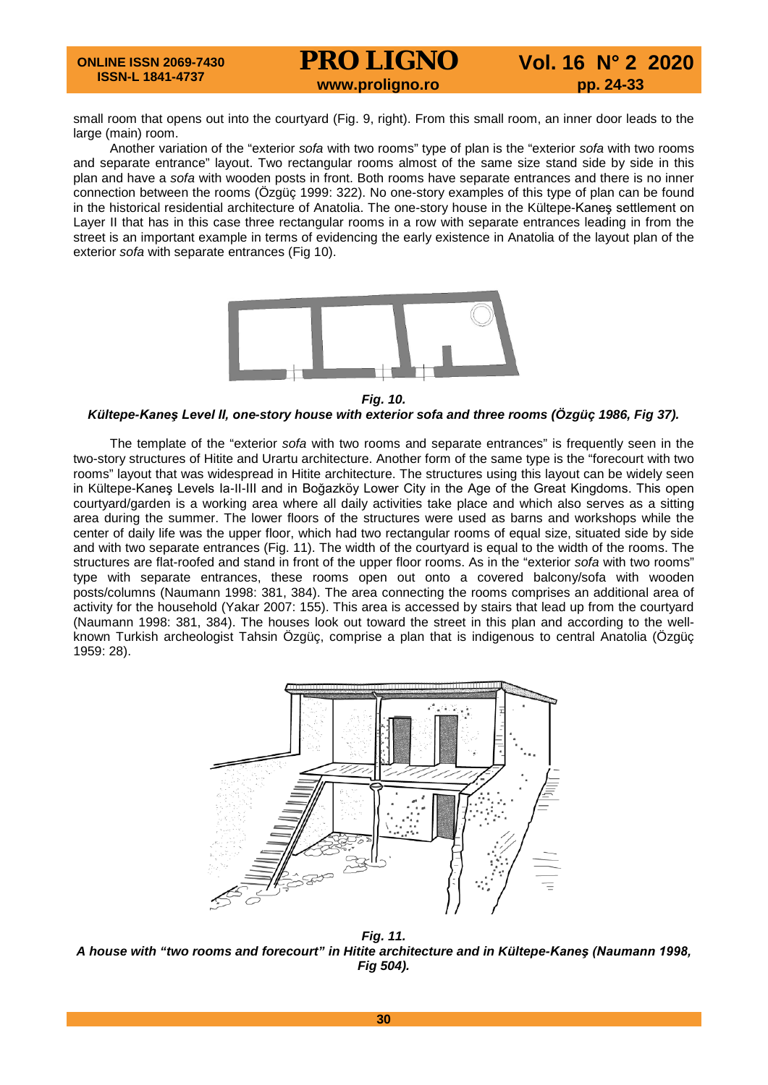## **ONLINE ISSN 2069-7430 ISSN-L 1841-4737 PRO LIGNO** Vol. 16 N° 2 2020<br>www.proligno.ro pp. 24-33

small room that opens out into the courtyard (Fig. 9, right). From this small room, an inner door leads to the large (main) room.

Another variation of the "exterior *sofa* with two rooms" type of plan is the "exterior *sofa* with two rooms and separate entrance" layout. Two rectangular rooms almost of the same size stand side by side in this plan and have a *sofa* with wooden posts in front. Both rooms have separate entrances and there is no inner connection between the rooms (Özgüç 1999: 322). No one-story examples of this type of plan can be found in the historical residential architecture of Anatolia. The one-story house in the Kültepe-Kaneş settlement on Layer II that has in this case three rectangular rooms in a row with separate entrances leading in from the street is an important example in terms of evidencing the early existence in Anatolia of the layout plan of the exterior *sofa* with separate entrances (Fig 10).



*Fig. 10.*

## *Kültepe-Kaneş Level II, one-story house with exterior sofa and three rooms (Özgüç 1986, Fig 37).*

The template of the "exterior *sofa* with two rooms and separate entrances" is frequently seen in the two-story structures of Hitite and Urartu architecture. Another form of the same type is the "forecourt with two rooms" layout that was widespread in Hitite architecture. The structures using this layout can be widely seen in Kültepe-Kaneş Levels Ia-II-III and in Boğazköy Lower City in the Age of the Great Kingdoms. This open courtyard/garden is a working area where all daily activities take place and which also serves as a sitting area during the summer. The lower floors of the structures were used as barns and workshops while the center of daily life was the upper floor, which had two rectangular rooms of equal size, situated side by side and with two separate entrances (Fig. 11). The width of the courtyard is equal to the width of the rooms. The structures are flat-roofed and stand in front of the upper floor rooms. As in the "exterior *sofa* with two rooms" type with separate entrances, these rooms open out onto a covered balcony/sofa with wooden posts/columns (Naumann 1998: 381, 384). The area connecting the rooms comprises an additional area of activity for the household (Yakar 2007: 155). This area is accessed by stairs that lead up from the courtyard (Naumann 1998: 381, 384). The houses look out toward the street in this plan and according to the wellknown Turkish archeologist Tahsin Özgüç, comprise a plan that is indigenous to central Anatolia (Özgüç 1959: 28).



*Fig. 11. A house with "two rooms and forecourt" in Hitite architecture and in Kültepe-Kaneş (Naumann 1998, Fig 504).*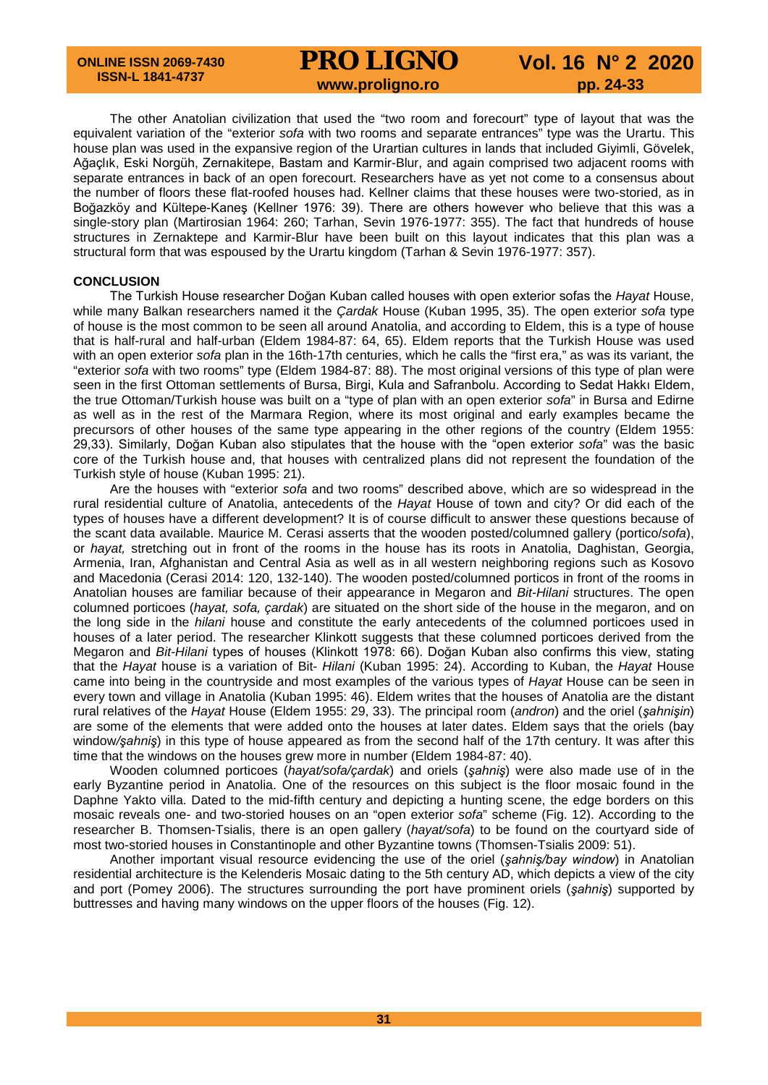# **PRO LIGNO** Vol. 16 N° 2 2020<br>www.proligno.ro pp. 24-33

The other Anatolian civilization that used the "two room and forecourt" type of layout that was the equivalent variation of the "exterior *sofa* with two rooms and separate entrances" type was the Urartu. This house plan was used in the expansive region of the Urartian cultures in lands that included Giyimli, Gövelek, Ağaçlık, Eski Norgüh, Zernakitepe, Bastam and Karmir-Blur, and again comprised two adjacent rooms with separate entrances in back of an open forecourt. Researchers have as yet not come to a consensus about the number of floors these flat-roofed houses had. Kellner claims that these houses were two-storied, as in Boğazköy and Kültepe-Kaneş (Kellner 1976: 39). There are others however who believe that this was a single-story plan (Martirosian 1964: 260; Tarhan, Sevin 1976-1977: 355). The fact that hundreds of house structures in Zernaktepe and Karmir-Blur have been built on this layout indicates that this plan was a structural form that was espoused by the Urartu kingdom (Tarhan & Sevin 1976-1977: 357).

### **CONCLUSION**

The Turkish House researcher Doğan Kuban called houses with open exterior sofas the *Hayat* House, while many Balkan researchers named it the *Çardak* House (Kuban 1995, 35). The open exterior *sofa* type of house is the most common to be seen all around Anatolia, and according to Eldem, this is a type of house that is half-rural and half-urban (Eldem 1984-87: 64, 65). Eldem reports that the Turkish House was used with an open exterior *sofa* plan in the 16th-17th centuries, which he calls the "first era," as was its variant, the "exterior *sofa* with two rooms" type (Eldem 1984-87: 88). The most original versions of this type of plan were seen in the first Ottoman settlements of Bursa, Birgi, Kula and Safranbolu. According to Sedat Hakkı Eldem, the true Ottoman/Turkish house was built on a "type of plan with an open exterior *sofa*" in Bursa and Edirne as well as in the rest of the Marmara Region, where its most original and early examples became the precursors of other houses of the same type appearing in the other regions of the country (Eldem 1955: 29,33). Similarly, Doğan Kuban also stipulates that the house with the "open exterior *sofa*" was the basic core of the Turkish house and, that houses with centralized plans did not represent the foundation of the Turkish style of house (Kuban 1995: 21).

Are the houses with "exterior *sofa* and two rooms" described above, which are so widespread in the rural residential culture of Anatolia, antecedents of the *Hayat* House of town and city? Or did each of the types of houses have a different development? It is of course difficult to answer these questions because of the scant data available. Maurice M. Cerasi asserts that the wooden posted/columned gallery (portico/*sofa*), or *hayat,* stretching out in front of the rooms in the house has its roots in Anatolia, Daghistan, Georgia, Armenia, Iran, Afghanistan and Central Asia as well as in all western neighboring regions such as Kosovo and Macedonia (Cerasi 2014: 120, 132-140). The wooden posted/columned porticos in front of the rooms in Anatolian houses are familiar because of their appearance in Megaron and *Bit-Hilani* structures. The open columned porticoes (*hayat, sofa, çardak*) are situated on the short side of the house in the megaron, and on the long side in the *hilani* house and constitute the early antecedents of the columned porticoes used in houses of a later period. The researcher Klinkott suggests that these columned porticoes derived from the Megaron and *Bit-Hilani* types of houses (Klinkott 1978: 66). Doğan Kuban also confirms this view, stating that the *Hayat* house is a variation of Bit- *Hilani* (Kuban 1995: 24). According to Kuban, the *Hayat* House came into being in the countryside and most examples of the various types of *Hayat* House can be seen in every town and village in Anatolia (Kuban 1995: 46). Eldem writes that the houses of Anatolia are the distant rural relatives of the *Hayat* House (Eldem 1955: 29, 33). The principal room (*andron*) and the oriel (*şahnişin*) are some of the elements that were added onto the houses at later dates. Eldem says that the oriels (bay window*/şahniş*) in this type of house appeared as from the second half of the 17th century. It was after this time that the windows on the houses grew more in number (Eldem 1984-87: 40).

Wooden columned porticoes (*hayat/sofa/çardak*) and oriels (*şahniş*) were also made use of in the early Byzantine period in Anatolia. One of the resources on this subject is the floor mosaic found in the Daphne Yakto villa. Dated to the mid-fifth century and depicting a hunting scene, the edge borders on this mosaic reveals one- and two-storied houses on an "open exterior *sofa*" scheme (Fig. 12). According to the researcher B. Thomsen-Tsialis, there is an open gallery (*hayat/sofa*) to be found on the courtyard side of most two-storied houses in Constantinople and other Byzantine towns (Thomsen-Tsialis 2009: 51).

Another important visual resource evidencing the use of the oriel (*şahniş/bay window*) in Anatolian residential architecture is the Kelenderis Mosaic dating to the 5th century AD, which depicts a view of the city and port (Pomey 2006). The structures surrounding the port have prominent oriels (*şahniş*) supported by buttresses and having many windows on the upper floors of the houses (Fig. 12).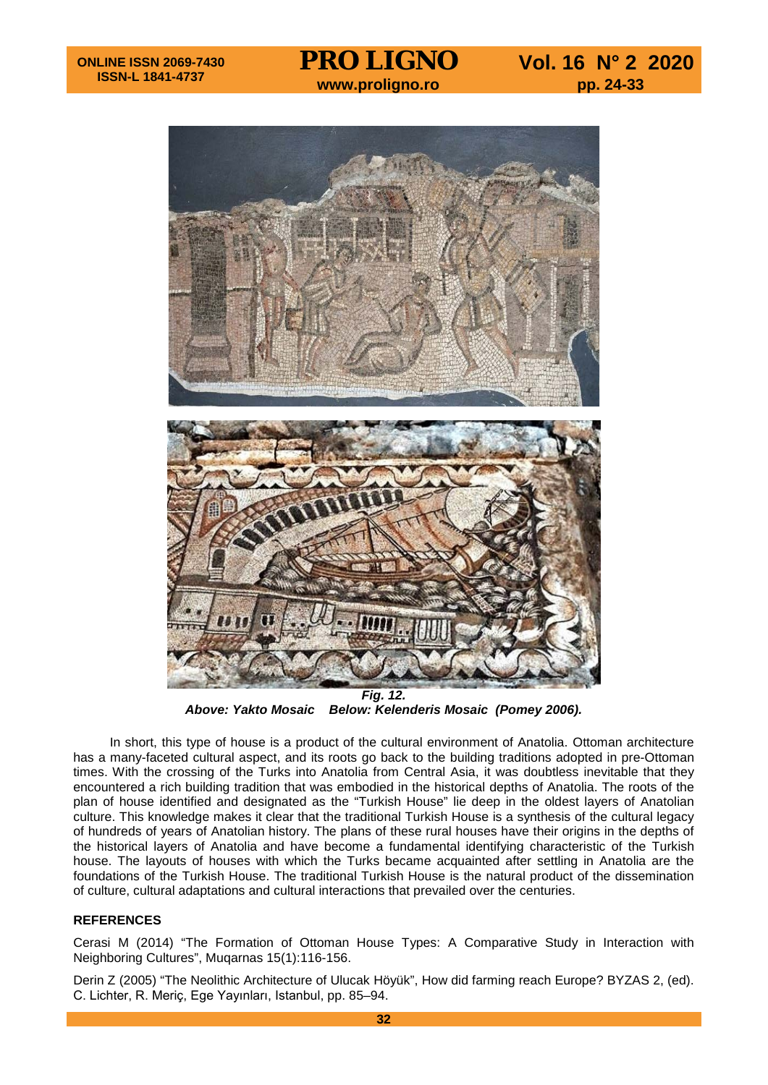

*Above: Yakto Mosaic Below: Kelenderis Mosaic (Pomey 2006).*

In short, this type of house is a product of the cultural environment of Anatolia. Ottoman architecture has a many-faceted cultural aspect, and its roots go back to the building traditions adopted in pre-Ottoman times. With the crossing of the Turks into Anatolia from Central Asia, it was doubtless inevitable that they encountered a rich building tradition that was embodied in the historical depths of Anatolia. The roots of the plan of house identified and designated as the "Turkish House" lie deep in the oldest layers of Anatolian culture. This knowledge makes it clear that the traditional Turkish House is a synthesis of the cultural legacy of hundreds of years of Anatolian history. The plans of these rural houses have their origins in the depths of the historical layers of Anatolia and have become a fundamental identifying characteristic of the Turkish house. The layouts of houses with which the Turks became acquainted after settling in Anatolia are the foundations of the Turkish House. The traditional Turkish House is the natural product of the dissemination of culture, cultural adaptations and cultural interactions that prevailed over the centuries.

# **REFERENCES**

Cerasi M (2014) "The Formation of Ottoman House Types: A Comparative Study in Interaction with Neighboring Cultures", Muqarnas 15(1):116-156.

Derin Z (2005) "The Neolithic Architecture of Ulucak Höyük", How did farming reach Europe? BYZAS 2, (ed). C. Lichter, R. Meriç, Ege Yayınları, Istanbul, pp. 85–94.